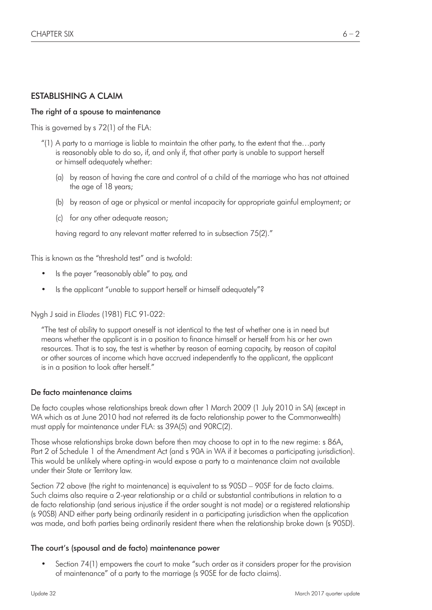# ESTABLISHING A CLAIM

#### The right of a spouse to maintenance

This is governed by s 72(1) of the FLA:

- "(1) A party to a marriage is liable to maintain the other party, to the extent that the...party is reasonably able to do so, if, and only if, that other party is unable to support herself or himself adequately whether:
	- (a) by reason of having the care and control of a child of the marriage who has not attained the age of 18 years;
	- (b) by reason of age or physical or mental incapacity for appropriate gainful employment; or
	- (c) for any other adequate reason;

having regard to any relevant matter referred to in subsection 75(2)."

This is known as the "threshold test" and is twofold:

- Is the payer "reasonably able" to pay, and
- Is the applicant "unable to support herself or himself adequately"?

Nygh J said in *Eliades* (1981) FLC 91-022:

"The test of ability to support oneself is not identical to the test of whether one is in need but means whether the applicant is in a position to finance himself or herself from his or her own resources. That is to say, the test is whether by reason of earning capacity, by reason of capital or other sources of income which have accrued independently to the applicant, the applicant is in a position to look after herself."

#### De facto maintenance claims

De facto couples whose relationships break down after 1 March 2009 (1 July 2010 in SA) (except in WA which as at June 2010 had not referred its de facto relationship power to the Commonwealth) must apply for maintenance under FLA: ss 39A(5) and 90RC(2).

Those whose relationships broke down before then may choose to opt in to the new regime: s 86A, Part 2 of Schedule 1 of the Amendment Act (and s 90A in WA if it becomes a participating jurisdiction). This would be unlikely where opting-in would expose a party to a maintenance claim not available under their State or Territory law.

Section 72 above (the right to maintenance) is equivalent to ss 90SD – 90SF for de facto claims. Such claims also require a 2-year relationship or a child or substantial contributions in relation to a de facto relationship (and serious injustice if the order sought is not made) or a registered relationship (s 90SB) AND either party being ordinarily resident in a participating jurisdiction when the application was made, and both parties being ordinarily resident there when the relationship broke down (s 90SD).

#### The court's (spousal and de facto) maintenance power

• Section 74(1) empowers the court to make "such order as it considers proper for the provision of maintenance" of a party to the marriage (s 90SE for de facto claims).